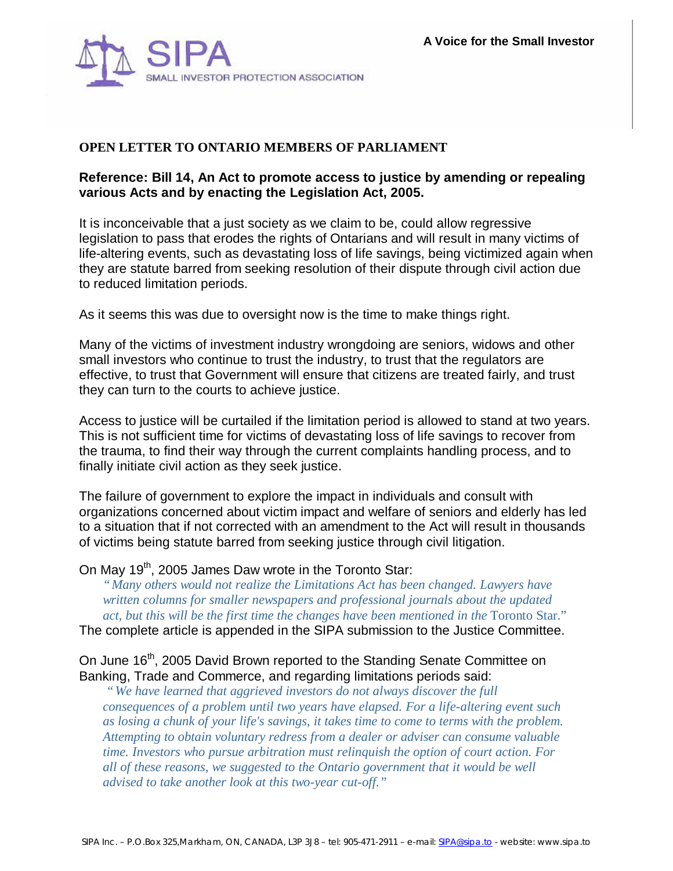

# **OPEN LETTER TO ONTARIO MEMBERS OF PARLIAMENT**

## **Reference: Bill 14, An Act to promote access to justice by amending or repealing various Acts and by enacting the Legislation Act, 2005.**

It is inconceivable that a just society as we claim to be, could allow regressive legislation to pass that erodes the rights of Ontarians and will result in many victims of life-altering events, such as devastating loss of life savings, being victimized again when they are statute barred from seeking resolution of their dispute through civil action due to reduced limitation periods.

As it seems this was due to oversight now is the time to make things right.

Many of the victims of investment industry wrongdoing are seniors, widows and other small investors who continue to trust the industry, to trust that the regulators are effective, to trust that Government will ensure that citizens are treated fairly, and trust they can turn to the courts to achieve justice.

Access to justice will be curtailed if the limitation period is allowed to stand at two years. This is not sufficient time for victims of devastating loss of life savings to recover from the trauma, to find their way through the current complaints handling process, and to finally initiate civil action as they seek justice.

The failure of government to explore the impact in individuals and consult with organizations concerned about victim impact and welfare of seniors and elderly has led to a situation that if not corrected with an amendment to the Act will result in thousands of victims being statute barred from seeking justice through civil litigation.

On May 19<sup>th</sup>, 2005 James Daw wrote in the Toronto Star:

*"Many others would not realize the Limitations Act has been changed. Lawyers have written columns for smaller newspapers and professional journals about the updated*  act, but this will be the first time the changes have been mentioned in the Toronto Star."

The complete article is appended in the SIPA submission to the Justice Committee.

On June 16<sup>th</sup>, 2005 David Brown reported to the Standing Senate Committee on Banking, Trade and Commerce, and regarding limitations periods said:

 *"We have learned that aggrieved investors do not always discover the full consequences of a problem until two years have elapsed. For a life-altering event such as losing a chunk of your life's savings, it takes time to come to terms with the problem. Attempting to obtain voluntary redress from a dealer or adviser can consume valuable time. Investors who pursue arbitration must relinquish the option of court action. For all of these reasons, we suggested to the Ontario government that it would be well advised to take another look at this two-year cut-off."*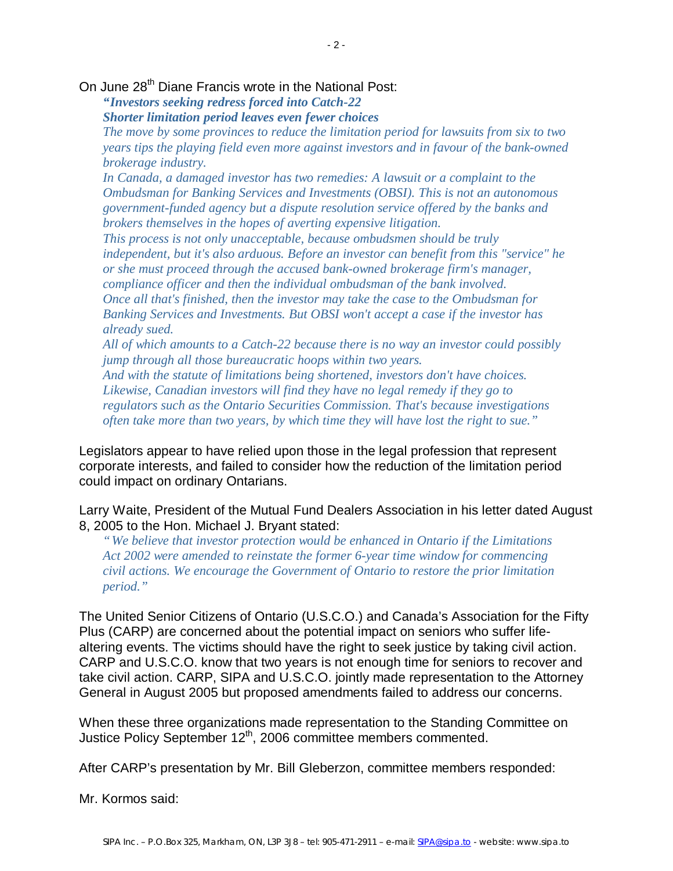*"Investors seeking redress forced into Catch-22*

*Shorter limitation period leaves even fewer choices*

*The move by some provinces to reduce the limitation period for lawsuits from six to two years tips the playing field even more against investors and in favour of the bank-owned brokerage industry.*

*In Canada, a damaged investor has two remedies: A lawsuit or a complaint to the Ombudsman for Banking Services and Investments (OBSI). This is not an autonomous government-funded agency but a dispute resolution service offered by the banks and brokers themselves in the hopes of averting expensive litigation.*

*This process is not only unacceptable, because ombudsmen should be truly independent, but it's also arduous. Before an investor can benefit from this "service" he or she must proceed through the accused bank-owned brokerage firm's manager, compliance officer and then the individual ombudsman of the bank involved. Once all that's finished, then the investor may take the case to the Ombudsman for Banking Services and Investments. But OBSI won't accept a case if the investor has already sued.*

*All of which amounts to a Catch-22 because there is no way an investor could possibly jump through all those bureaucratic hoops within two years.*

*And with the statute of limitations being shortened, investors don't have choices. Likewise, Canadian investors will find they have no legal remedy if they go to regulators such as the Ontario Securities Commission. That's because investigations often take more than two years, by which time they will have lost the right to sue."*

Legislators appear to have relied upon those in the legal profession that represent corporate interests, and failed to consider how the reduction of the limitation period could impact on ordinary Ontarians.

Larry Waite, President of the Mutual Fund Dealers Association in his letter dated August 8, 2005 to the Hon. Michael J. Bryant stated:

*"We believe that investor protection would be enhanced in Ontario if the Limitations Act 2002 were amended to reinstate the former 6-year time window for commencing civil actions. We encourage the Government of Ontario to restore the prior limitation period."*

The United Senior Citizens of Ontario (U.S.C.O.) and Canada's Association for the Fifty Plus (CARP) are concerned about the potential impact on seniors who suffer lifealtering events. The victims should have the right to seek justice by taking civil action. CARP and U.S.C.O. know that two years is not enough time for seniors to recover and take civil action. CARP, SIPA and U.S.C.O. jointly made representation to the Attorney General in August 2005 but proposed amendments failed to address our concerns.

When these three organizations made representation to the Standing Committee on Justice Policy September 12<sup>th</sup>, 2006 committee members commented.

After CARP's presentation by Mr. Bill Gleberzon, committee members responded:

Mr. Kormos said: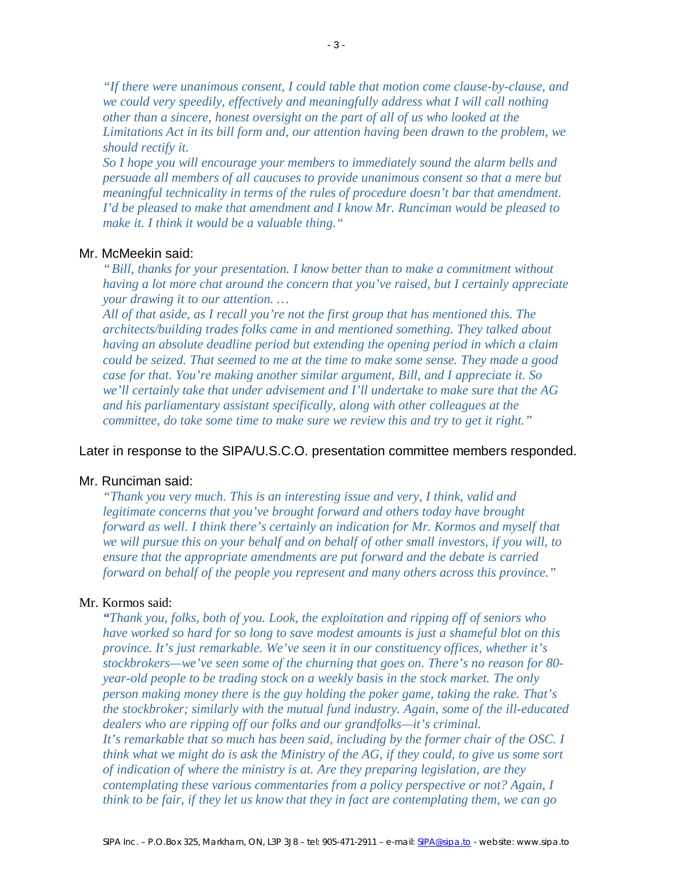*"If there were unanimous consent, I could table that motion come clause-by-clause, and we could very speedily, effectively and meaningfully address what I will call nothing other than a sincere, honest oversight on the part of all of us who looked at the Limitations Act in its bill form and, our attention having been drawn to the problem, we should rectify it.* 

*So I hope you will encourage your members to immediately sound the alarm bells and persuade all members of all caucuses to provide unanimous consent so that a mere but meaningful technicality in terms of the rules of procedure doesn't bar that amendment. I'd be pleased to make that amendment and I know Mr. Runciman would be pleased to make it. I think it would be a valuable thing."*

## Mr. McMeekin said:

*"Bill, thanks for your presentation. I know better than to make a commitment without having a lot more chat around the concern that you've raised, but I certainly appreciate your drawing it to our attention. …* 

*All of that aside, as I recall you're not the first group that has mentioned this. The architects/building trades folks came in and mentioned something. They talked about having an absolute deadline period but extending the opening period in which a claim could be seized. That seemed to me at the time to make some sense. They made a good case for that. You're making another similar argument, Bill, and I appreciate it. So we'll certainly take that under advisement and I'll undertake to make sure that the AG and his parliamentary assistant specifically, along with other colleagues at the committee, do take some time to make sure we review this and try to get it right."*

#### Later in response to the SIPA/U.S.C.O. presentation committee members responded.

#### Mr. Runciman said:

*"Thank you very much. This is an interesting issue and very, I think, valid and legitimate concerns that you've brought forward and others today have brought forward as well. I think there's certainly an indication for Mr. Kormos and myself that we will pursue this on your behalf and on behalf of other small investors, if you will, to ensure that the appropriate amendments are put forward and the debate is carried forward on behalf of the people you represent and many others across this province."*

#### Mr. Kormos said:

*"Thank you, folks, both of you. Look, the exploitation and ripping off of seniors who have worked so hard for so long to save modest amounts is just a shameful blot on this province. It's just remarkable. We've seen it in our constituency offices, whether it's stockbrokers— we've seen some of the churning that goes on. There's no reason for 80 year-old people to be trading stock on a weekly basis in the stock market. The only person making money there is the guy holding the poker game, taking the rake. That's the stockbroker; similarly with the mutual fund industry. Again, some of the ill-educated dealers who are ripping off our folks and our grandfolks—it's criminal. It's remarkable that so much has been said, including by the former chair of the OSC. I think what we might do is ask the Ministry of the AG, if they could, to give us some sort of indication of where the ministry is at. Are they preparing legislation, are they contemplating these various commentaries from a policy perspective or not? Again, I think to be fair, if they let us know that they in fact are contemplating them, we can go*